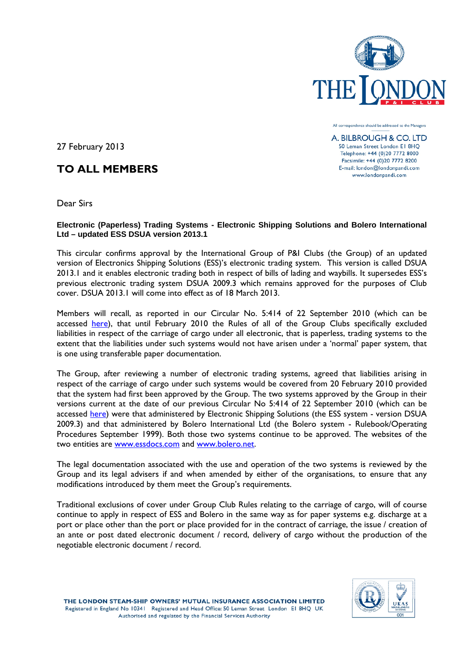

All correspondence should be addressed to the Managers

A. BILBROUGH & CO. LTD 50 Leman Street London El 8HQ Telephone: +44 (0)20 7772 8000 Facsimile: +44 (0)20 7772 8200 E-mail: london@londonpandi.com www.londonpandi.com

27 February 2013

## **TO ALL MEMBERS**

Dear Sirs

**Electronic (Paperless) Trading Systems - Electronic Shipping Solutions and Bolero International Ltd – updated ESS DSUA version 2013.1** 

This circular confirms approval by the International Group of P&I Clubs (the Group) of an updated version of Electronics Shipping Solutions (ESS)'s electronic trading system. This version is called DSUA 2013.1 and it enables electronic trading both in respect of bills of lading and waybills. It supersedes ESS's previous electronic trading system DSUA 2009.3 which remains approved for the purposes of Club cover. DSUA 2013.1 will come into effect as of 18 March 2013.

Members will recall, as reported in our Circular No. 5:414 of 22 September 2010 (which can be accessed [here\)](http://www.londonpandi.com/_common/updateable/downloads/documents/5414.pdf), that until February 2010 the Rules of all of the Group Clubs specifically excluded liabilities in respect of the carriage of cargo under all electronic, that is paperless, trading systems to the extent that the liabilities under such systems would not have arisen under a 'normal' paper system, that is one using transferable paper documentation.

The Group, after reviewing a number of electronic trading systems, agreed that liabilities arising in respect of the carriage of cargo under such systems would be covered from 20 February 2010 provided that the system had first been approved by the Group. The two systems approved by the Group in their versions current at the date of our previous Circular No 5:414 of 22 September 2010 (which can be accessed [here\)](http://www.londonpandi.com/_common/updateable/downloads/documents/5414.pdf) were that administered by Electronic Shipping Solutions (the ESS system - version DSUA 2009.3) and that administered by Bolero International Ltd (the Bolero system - Rulebook/Operating Procedures September 1999). Both those two systems continue to be approved. The websites of the two entities are [www.essdocs.com](http://www.essdocs.com/) and [www.bolero.net.](http://www.bolero.net/)

The legal documentation associated with the use and operation of the two systems is reviewed by the Group and its legal advisers if and when amended by either of the organisations, to ensure that any modifications introduced by them meet the Group's requirements.

Traditional exclusions of cover under Group Club Rules relating to the carriage of cargo, will of course continue to apply in respect of ESS and Bolero in the same way as for paper systems e.g. discharge at a port or place other than the port or place provided for in the contract of carriage, the issue / creation of an ante or post dated electronic document / record, delivery of cargo without the production of the negotiable electronic document / record.

THE LONDON STEAM-SHIP OWNERS' MUTUAL INSURANCE ASSOCIATION LIMITED Registered in England No 10341 Registered and Head Office: 50 Leman Street London El 8HQ UK Authorised and regulated by the Financial Services Authority